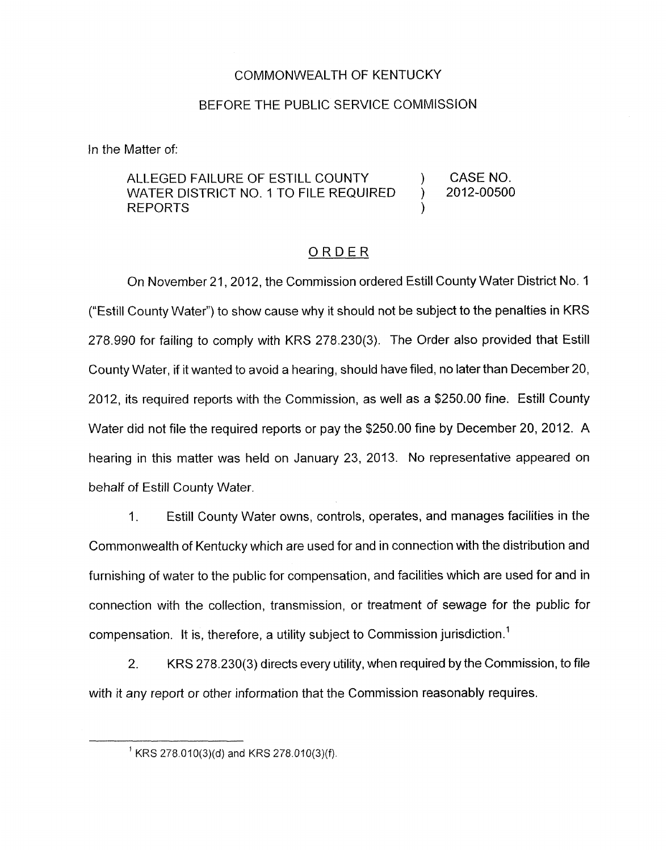## COMMONWEALTH OF KENTUCKY

## BEFORE THE PUBLIC SERVICE COMMISSION

In the Matter of:

## ALLEGED FAILURE OF ESTILL COUNTY (CASE NO. WATER DISTRICT NO. 1 TO FILE REQUIRED ) 2012-00500 **REPORTS**

## ORDER

On November 21 , 2012, the Commission ordered Estill County Water District No. 1 ("Estill County Water") to show cause why it should not be subject to the penalties in KRS 278.990 for failing to comply with KRS 278.230(3). The Order also provided that Estill County Water, if it wanted to avoid a hearing, should have filed, no later than December 20, 2012, its required reports with the Commission, as well as a \$250.00 fine. Estill County Water did not file the required reports or pay the \$250.00 fine by December 20, 2012. A hearing in this matter was held on January 23, 2013. No representative appeared on behalf of Estill County Water.

1. Estill County Water owns, controls, operates, and manages facilities in the Commonwealth of Kentucky which are used for and in connection with the distribution and furnishing of water to the public for compensation, and facilities which are used for and in connection with the collection, transmission, or treatment of sewage for the public for compensation. It is, therefore, a utility subject to Commission jurisdiction.'

2. KRS 278.230(3) directs every utility, when required by the Commission, to file with it any report or other information that the Commission reasonably requires.

 $^1$  KRS 278.010(3)(d) and KRS 278.010(3)(f).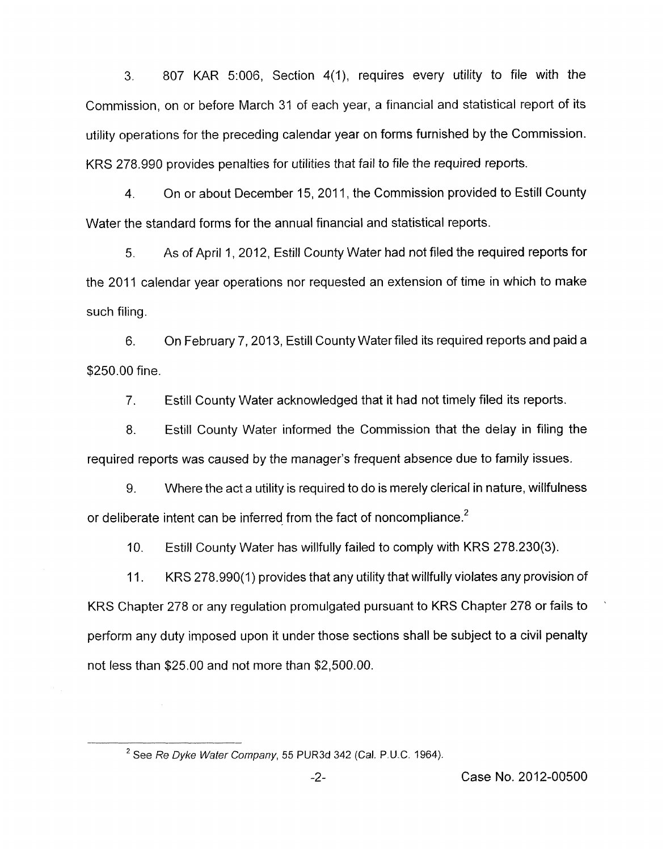3. 807 KAR 5:006, Section 4(1), requires every utility to file with the Commission, on or before March 31 of each year, a financial and statistical report of its utility operations for the preceding calendar year on forms furnished by the Commission. KRS 278.990 provides penalties for utilities that fail to file the required reports.

4. On or about December 15, 2011, the Commission provided to Estill County Water the standard forms for the annual financial and statistical reports.

5. As of April 1, 2012, Estill County Water had not filed the required reports for the 2011 calendar year operations nor requested an extension of time in which to make such filing.

6. On February 7, 2013, Estill County Water filed its required reports and paid a \$250.00 fine.

7. Estill County Water acknowledged that it had not timely filed its reports.

8. Estill County Water informed the Commission that the delay in filing the required reports was caused by the manager's frequent absence due to family issues.

9. Where the act a utility is required to do is merely clerical in nature, willfulness or deliberate intent can be inferred from the fact of noncompliance. $<sup>2</sup>$ </sup>

IO. Estill County Water has willfully failed to comply with KRS 278.230(3).

11. KRS 278.990(1) provides that any utility that willfully violates any provision of KRS Chapter 278 or any regulation promulgated pursuant to KRS Chapter 278 or fails to perform any duty imposed upon it under those sections shall be subject to a civil penalty not less than \$25.00 and not more than \$2,500.00.

*See Re Dyke Wafer Company, 55* PUR3d 342 (Cal. P.U.C. 1964). **<sup>2</sup>**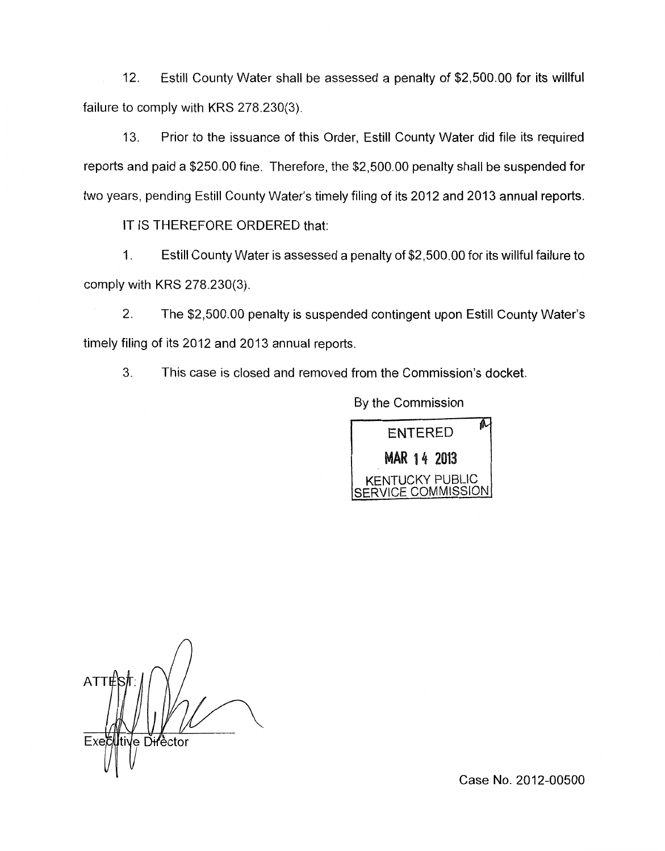12. Estill County Water shall be assessed a penalty of \$2,500.00 for its willful failure to comply with KRS 278.230(3).

13. Prior to the issuance of this Order, Estill County Water did file its required reports and paid a \$250.00 fine. Therefore, the \$2,500.00 penalty shall be suspended for two years, pending Estill County Water's timely filing of its 2012 and 2013 annual reports.

IT IS THEREFORE ORDERED that:

1 **I** Estill County Water is assessed a penalty of \$2,500.00 for its willful failure to comply with KRS 278.230(3).

2. The \$2,500.00 penalty is suspended contingent upon Estill County Water's timely filing of its 2012 and 2013 annual reports.

3. This case is closed and removed from the Commission's docket.

**ENTERED MAR 14 2013**<br>NTUCKY PUBLIC COMMISSION

By the Commission

AT1 √e D<del>ir</del>'èctor Exeč

Case No. 2012-00500